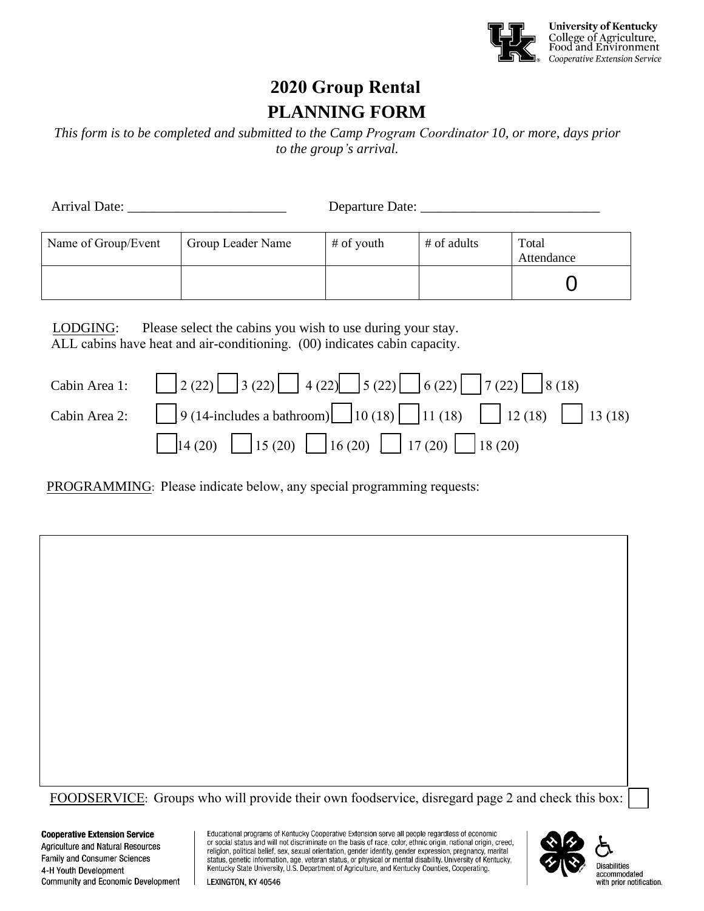

# **2020 Group Rental PLANNING FORM**

*This form is to be completed and submitted to the Camp Program Coordinator 10, or more, days prior to the group's arrival.* 

| Arrival Date:       |                   | Departure Date: |             |                     |  |
|---------------------|-------------------|-----------------|-------------|---------------------|--|
| Name of Group/Event | Group Leader Name | # of youth      | # of adults | Total<br>Attendance |  |
|                     |                   |                 |             |                     |  |

LODGING: Please select the cabins you wish to use during your stay. ALL cabins have heat and air-conditioning. (00) indicates cabin capacity.

| Cabin Area 1: $\Box$ 2 (22) $\Box$ 3 (22) $\Box$ 4 (22) $\Box$ 5 (22) $\Box$ 6 (22) $\Box$ 7 (22) $\Box$ 8 (18) |
|-----------------------------------------------------------------------------------------------------------------|
| Cabin Area 2: $9(14$ -includes a bathroom) $10(18)$ 11 (18) 12 (18) 13 (18)                                     |
| $\Box$ 14 (20) $\Box$ 15 (20) $\Box$ 16 (20) $\Box$ 17 (20) $\Box$ 18 (20)                                      |

PROGRAMMING: Please indicate below, any special programming requests:

FOODSERVICE: Groups who will provide their own foodservice, disregard page 2 and check this box:

**Cooperative Extension Service Agriculture and Natural Resources** Family and Consumer Sciences 4-H Youth Development Community and Economic Development Educational programs of Kentucky Cooperative Extension serve all people regardless of economic or social status and will not discriminate on the basis of race, color, ethnic origin, national origin, creed, religion, political belief, sex, sexual orientation, gender identity, gender expression, pregnancy, marital status, genetic information, age, veteran status, or physical or mental disability. University of Kentucky, Kentucky State University, U.S. Department of Agriculture, and Kentucky Counties, Cooperating.



**Disabilities** accommodated with prior notification.

LEXINGTON, KY 40546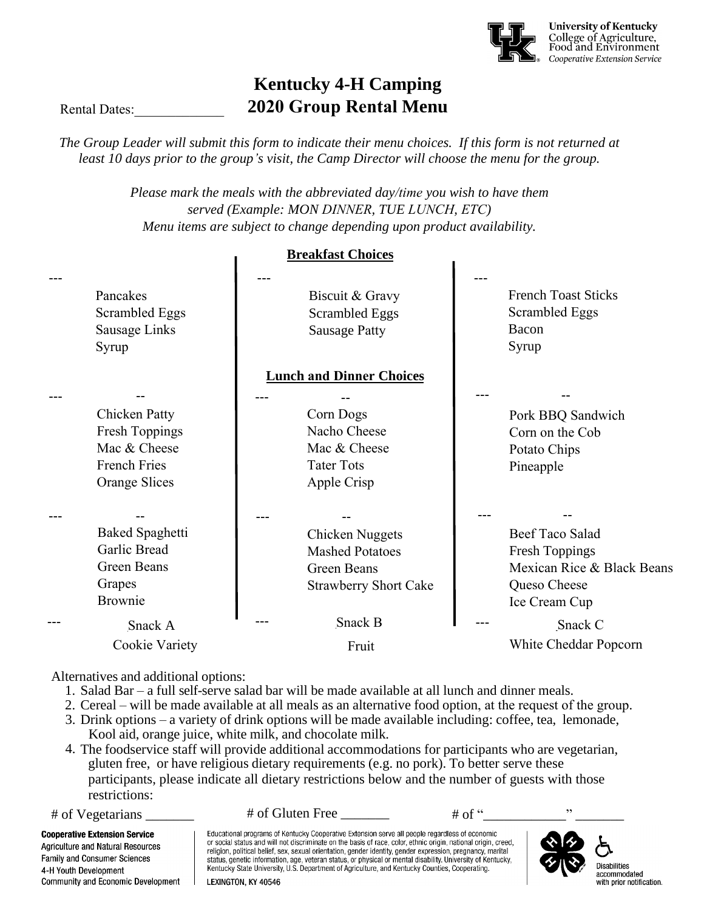

# **Kentucky 4-H Camping 2020 Group Rental Menu**

Rental Dates:

*The Group Leader will submit this form to indicate their menu choices. If this form is not returned at least 10 days prior to the group's visit, the Camp Director will choose the menu for the group.* 

> *Please mark the meals with the abbreviated day/time you wish to have them served (Example: MON DINNER, TUE LUNCH, ETC) Menu items are subject to change depending upon product availability.*

> > **Breakfast Choices**

|                                                                                                       |                                 | Camasi Chuices                                                                                  |  |                                                                                                         |
|-------------------------------------------------------------------------------------------------------|---------------------------------|-------------------------------------------------------------------------------------------------|--|---------------------------------------------------------------------------------------------------------|
| Pancakes<br>Scrambled Eggs<br>Sausage Links<br>Syrup                                                  |                                 | Biscuit & Gravy<br><b>Scrambled Eggs</b><br><b>Sausage Patty</b>                                |  | <b>French Toast Sticks</b><br>Scrambled Eggs<br>Bacon<br>Syrup                                          |
|                                                                                                       | <b>Lunch and Dinner Choices</b> |                                                                                                 |  |                                                                                                         |
| <b>Chicken Patty</b><br><b>Fresh Toppings</b><br>Mac & Cheese<br><b>French Fries</b><br>Orange Slices |                                 | Corn Dogs<br>Nacho Cheese<br>Mac & Cheese<br><b>Tater Tots</b><br>Apple Crisp                   |  | Pork BBQ Sandwich<br>Corn on the Cob<br>Potato Chips<br>Pineapple                                       |
| <b>Baked Spaghetti</b><br>Garlic Bread<br>Green Beans<br>Grapes<br><b>Brownie</b>                     |                                 | <b>Chicken Nuggets</b><br><b>Mashed Potatoes</b><br>Green Beans<br><b>Strawberry Short Cake</b> |  | Beef Taco Salad<br><b>Fresh Toppings</b><br>Mexican Rice & Black Beans<br>Queso Cheese<br>Ice Cream Cup |
| Snack A<br>Cookie Variety                                                                             |                                 | Snack B<br>Fruit                                                                                |  | Snack C<br>White Cheddar Popcorn                                                                        |

Alternatives and additional options:

- 1. Salad Bar a full self-serve salad bar will be made available at all lunch and dinner meals.
- 2. Cereal will be made available at all meals as an alternative food option, at the request of the group.
- 3. Drink options a variety of drink options will be made available including: coffee, tea, lemonade, Kool aid, orange juice, white milk, and chocolate milk.
- 4. The foodservice staff will provide additional accommodations for participants who are vegetarian, gluten free, or have religious dietary requirements (e.g. no pork). To better serve these participants, please indicate all dietary restrictions below and the number of guests with those restrictions:

4-H Youth Development

 $\#$  of Vegetarians  $\#$  of Gluten Free  $\frac{1}{\#}$   $\#$  of "

Educational programs of Kentucky Cooperative Extension serve all people regardless of economic **Cooperative Extension Service** or social status and will not discriminate on the basis of race, color, ethnic origin, national origin, creed, **Agriculture and Natural Resources** religion, political belief, sex, sexual orientation, gender identity, gender expression, pregnancy, marital **Family and Consumer Sciences** status, genetic information, age, veteran status, or physical or mental disability. University of Kentucky, Kentucky State University, U.S. Department of Agriculture, and Kentucky Counties, Cooperating. Community and Economic Development LEXINGTON, KY 40546



**Disabilities** accommodated with prior notification.